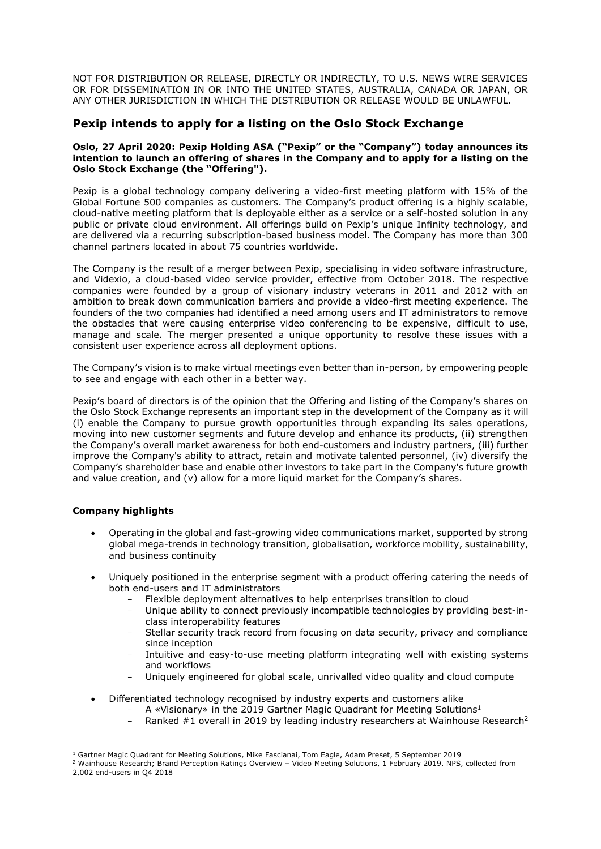NOT FOR DISTRIBUTION OR RELEASE, DIRECTLY OR INDIRECTLY, TO U.S. NEWS WIRE SERVICES OR FOR DISSEMINATION IN OR INTO THE UNITED STATES, AUSTRALIA, CANADA OR JAPAN, OR ANY OTHER JURISDICTION IN WHICH THE DISTRIBUTION OR RELEASE WOULD BE UNLAWFUL.

## **Pexip intends to apply for a listing on the Oslo Stock Exchange**

#### **Oslo, 27 April 2020: Pexip Holding ASA ("Pexip" or the "Company") today announces its intention to launch an offering of shares in the Company and to apply for a listing on the Oslo Stock Exchange (the "Offering").**

Pexip is a global technology company delivering a video-first meeting platform with 15% of the Global Fortune 500 companies as customers. The Company's product offering is a highly scalable, cloud-native meeting platform that is deployable either as a service or a self-hosted solution in any public or private cloud environment. All offerings build on Pexip's unique Infinity technology, and are delivered via a recurring subscription-based business model. The Company has more than 300 channel partners located in about 75 countries worldwide.

The Company is the result of a merger between Pexip, specialising in video software infrastructure, and Videxio, a cloud-based video service provider, effective from October 2018. The respective companies were founded by a group of visionary industry veterans in 2011 and 2012 with an ambition to break down communication barriers and provide a video-first meeting experience. The founders of the two companies had identified a need among users and IT administrators to remove the obstacles that were causing enterprise video conferencing to be expensive, difficult to use, manage and scale. The merger presented a unique opportunity to resolve these issues with a consistent user experience across all deployment options.

The Company's vision is to make virtual meetings even better than in-person, by empowering people to see and engage with each other in a better way.

Pexip's board of directors is of the opinion that the Offering and listing of the Company's shares on the Oslo Stock Exchange represents an important step in the development of the Company as it will (i) enable the Company to pursue growth opportunities through expanding its sales operations, moving into new customer segments and future develop and enhance its products, (ii) strengthen the Company's overall market awareness for both end-customers and industry partners, (iii) further improve the Company's ability to attract, retain and motivate talented personnel, (iv) diversify the Company's shareholder base and enable other investors to take part in the Company's future growth and value creation, and (v) allow for a more liquid market for the Company's shares.

### **Company highlights**

- Operating in the global and fast-growing video communications market, supported by strong global mega-trends in technology transition, globalisation, workforce mobility, sustainability, and business continuity
- Uniquely positioned in the enterprise segment with a product offering catering the needs of both end-users and IT administrators
	- Flexible deployment alternatives to help enterprises transition to cloud
	- Unique ability to connect previously incompatible technologies by providing best-inclass interoperability features
	- Stellar security track record from focusing on data security, privacy and compliance since inception
	- Intuitive and easy-to-use meeting platform integrating well with existing systems and workflows
	- Uniquely engineered for global scale, unrivalled video quality and cloud compute
- Differentiated technology recognised by industry experts and customers alike
	- A «Visionary» in the 2019 Gartner Magic Quadrant for Meeting Solutions<sup>1</sup>
	- Ranked #1 overall in 2019 by leading industry researchers at Wainhouse Research<sup>2</sup>

<sup>1</sup>  $1$  Gartner Magic Quadrant for Meeting Solutions, Mike Fascianai, Tom Eagle, Adam Preset, 5 September 2019

<sup>2</sup> Wainhouse Research; Brand Perception Ratings Overview – Video Meeting Solutions, 1 February 2019. NPS, collected from 2,002 end-users in Q4 2018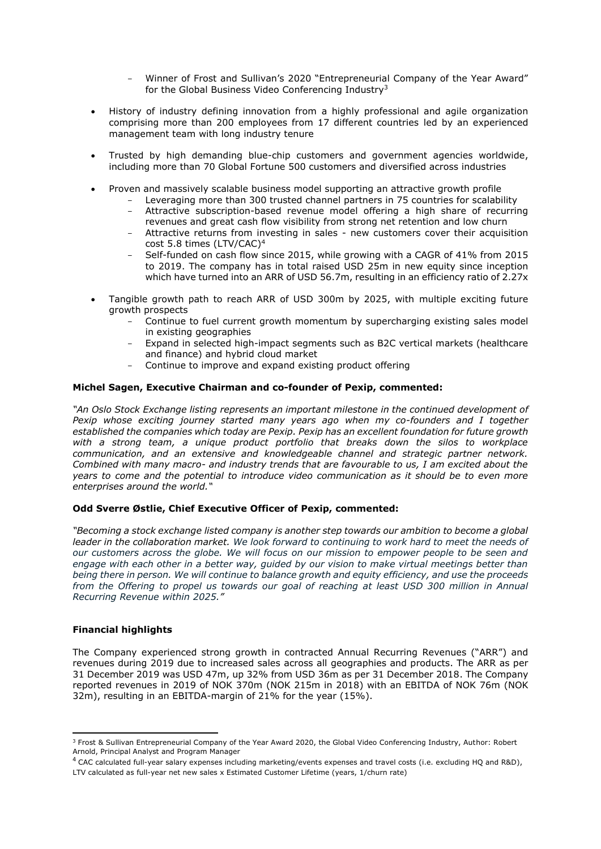- Winner of Frost and Sullivan's 2020 "Entrepreneurial Company of the Year Award" for the Global Business Video Conferencing Industry<sup>3</sup>
- History of industry defining innovation from a highly professional and agile organization comprising more than 200 employees from 17 different countries led by an experienced management team with long industry tenure
- Trusted by high demanding blue-chip customers and government agencies worldwide, including more than 70 Global Fortune 500 customers and diversified across industries
- Proven and massively scalable business model supporting an attractive growth profile
	- Leveraging more than 300 trusted channel partners in 75 countries for scalability Attractive subscription-based revenue model offering a high share of recurring
	- revenues and great cash flow visibility from strong net retention and low churn
	- Attractive returns from investing in sales new customers cover their acquisition cost 5.8 times (LTV/CAC)<sup>4</sup>
	- Self-funded on cash flow since 2015, while growing with a CAGR of 41% from 2015 to 2019. The company has in total raised USD 25m in new equity since inception which have turned into an ARR of USD 56.7m, resulting in an efficiency ratio of 2.27x
- Tangible growth path to reach ARR of USD 300m by 2025, with multiple exciting future growth prospects
	- Continue to fuel current growth momentum by supercharging existing sales model in existing geographies
	- Expand in selected high-impact segments such as B2C vertical markets (healthcare and finance) and hybrid cloud market
	- Continue to improve and expand existing product offering

#### **Michel Sagen, Executive Chairman and co-founder of Pexip, commented:**

*"An Oslo Stock Exchange listing represents an important milestone in the continued development of Pexip whose exciting journey started many years ago when my co-founders and I together established the companies which today are Pexip. Pexip has an excellent foundation for future growth with a strong team, a unique product portfolio that breaks down the silos to workplace communication, and an extensive and knowledgeable channel and strategic partner network. Combined with many macro- and industry trends that are favourable to us, I am excited about the years to come and the potential to introduce video communication as it should be to even more enterprises around the world."*

#### **Odd Sverre Østlie, Chief Executive Officer of Pexip, commented:**

*"Becoming a stock exchange listed company is another step towards our ambition to become a global leader in the collaboration market. We look forward to continuing to work hard to meet the needs of our customers across the globe. We will focus on our mission to empower people to be seen and engage with each other in a better way, guided by our vision to make virtual meetings better than being there in person. We will continue to balance growth and equity efficiency, and use the proceeds from the Offering to propel us towards our goal of reaching at least USD 300 million in Annual Recurring Revenue within 2025."*

#### **Financial highlights**

**.** 

The Company experienced strong growth in contracted Annual Recurring Revenues ("ARR") and revenues during 2019 due to increased sales across all geographies and products. The ARR as per 31 December 2019 was USD 47m, up 32% from USD 36m as per 31 December 2018. The Company reported revenues in 2019 of NOK 370m (NOK 215m in 2018) with an EBITDA of NOK 76m (NOK 32m), resulting in an EBITDA-margin of 21% for the year (15%).

<sup>&</sup>lt;sup>3</sup> Frost & Sullivan Entrepreneurial Company of the Year Award 2020, the Global Video Conferencing Industry, Author: Robert Arnold, Principal Analyst and Program Manager

<sup>4</sup> CAC calculated full-year salary expenses including marketing/events expenses and travel costs (i.e. excluding HQ and R&D), LTV calculated as full-year net new sales x Estimated Customer Lifetime (years, 1/churn rate)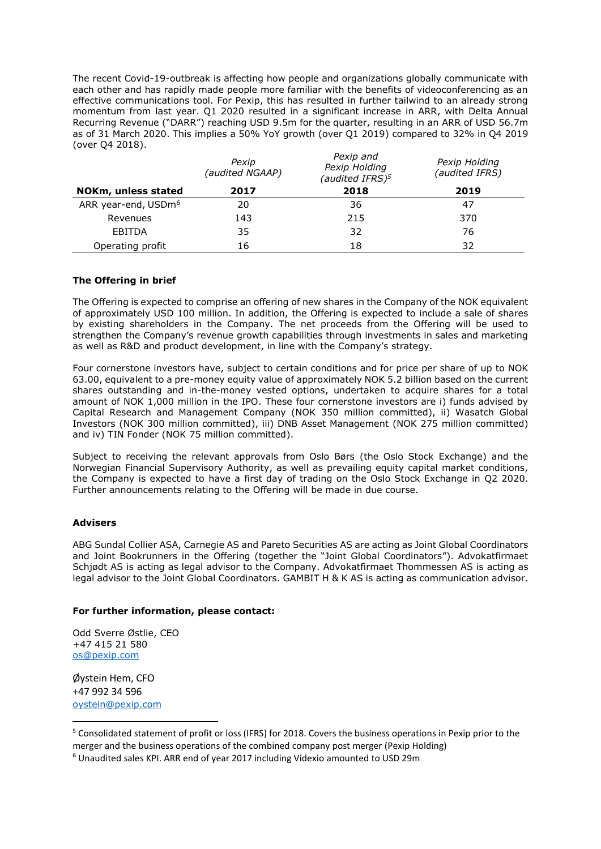The recent Covid-19-outbreak is affecting how people and organizations globally communicate with each other and has rapidly made people more familiar with the benefits of videoconferencing as an effective communications tool. For Pexip, this has resulted in further tailwind to an already strong momentum from last year. Q1 2020 resulted in a significant increase in ARR, with Delta Annual Recurring Revenue ("DARR") reaching USD 9.5m for the quarter, resulting in an ARR of USD 56.7m as of 31 March 2020. This implies a 50% YoY growth (over Q1 2019) compared to 32% in Q4 2019 (over Q4 2018).

|                                 | Pexip<br>(audited NGAAP) | Pexip and<br>Pexip Holding<br>(audited IFRS) <sup>5</sup> | Pexip Holding<br>(audited IFRS) |
|---------------------------------|--------------------------|-----------------------------------------------------------|---------------------------------|
| NOKm, unless stated             | 2017                     | 2018                                                      | 2019                            |
| ARR year-end, USDm <sup>6</sup> | 20                       | 36                                                        | 47                              |
| Revenues                        | 143                      | 215                                                       | 370                             |
| EBITDA                          | 35                       | 32                                                        | 76                              |
| Operating profit                | 16                       | 18                                                        | 32                              |

#### **The Offering in brief**

The Offering is expected to comprise an offering of new shares in the Company of the NOK equivalent of approximately USD 100 million. In addition, the Offering is expected to include a sale of shares by existing shareholders in the Company. The net proceeds from the Offering will be used to strengthen the Company's revenue growth capabilities through investments in sales and marketing as well as R&D and product development, in line with the Company's strategy.

Four cornerstone investors have, subject to certain conditions and for price per share of up to NOK 63.00, equivalent to a pre-money equity value of approximately NOK 5.2 billion based on the current shares outstanding and in-the-money vested options, undertaken to acquire shares for a total amount of NOK 1,000 million in the IPO. These four cornerstone investors are i) funds advised by Capital Research and Management Company (NOK 350 million committed), ii) Wasatch Global Investors (NOK 300 million committed), iii) DNB Asset Management (NOK 275 million committed) and iv) TIN Fonder (NOK 75 million committed).

Subject to receiving the relevant approvals from Oslo Børs (the Oslo Stock Exchange) and the Norwegian Financial Supervisory Authority, as well as prevailing equity capital market conditions, the Company is expected to have a first day of trading on the Oslo Stock Exchange in Q2 2020. Further announcements relating to the Offering will be made in due course.

#### **Advisers**

ABG Sundal Collier ASA, Carnegie AS and Pareto Securities AS are acting as Joint Global Coordinators and Joint Bookrunners in the Offering (together the "Joint Global Coordinators"). Advokatfirmaet Schjødt AS is acting as legal advisor to the Company. Advokatfirmaet Thommessen AS is acting as legal advisor to the Joint Global Coordinators. GAMBIT H & K AS is acting as communication advisor.

#### **For further information, please contact:**

Odd Sverre Østlie, CEO +47 415 21 580 [os@pexip.com](mailto:os@pexip.com)

Øystein Hem, CFO +47 992 34 596 [oystein@pexip.com](mailto:oystein@pexip.com)

**.** 

<sup>5</sup> Consolidated statement of profit or loss (IFRS) for 2018. Covers the business operations in Pexip prior to the merger and the business operations of the combined company post merger (Pexip Holding)

<sup>6</sup> Unaudited sales KPI. ARR end of year 2017 including Videxio amounted to USD 29m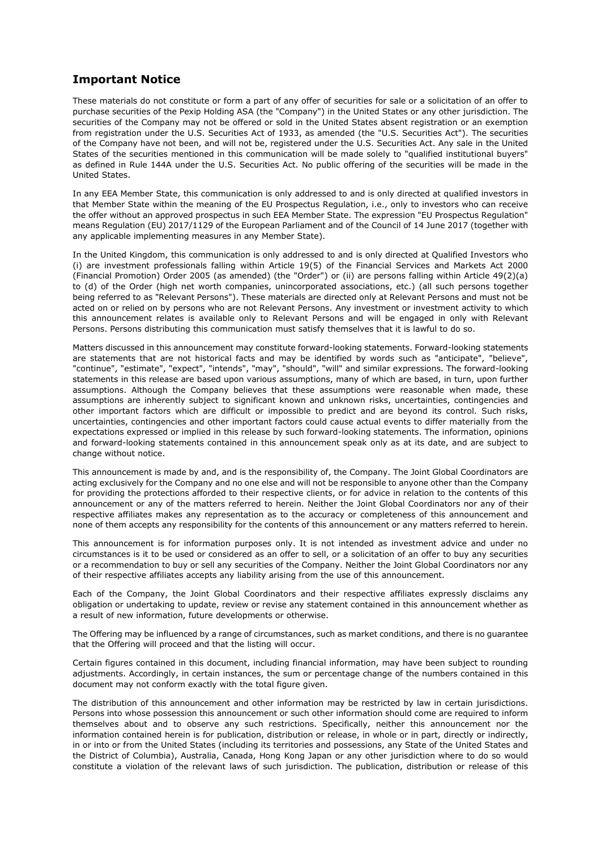# **Important Notice**

These materials do not constitute or form a part of any offer of securities for sale or a solicitation of an offer to purchase securities of the Pexip Holding ASA (the "Company") in the United States or any other jurisdiction. The securities of the Company may not be offered or sold in the United States absent registration or an exemption from registration under the U.S. Securities Act of 1933, as amended (the "U.S. Securities Act"). The securities of the Company have not been, and will not be, registered under the U.S. Securities Act. Any sale in the United States of the securities mentioned in this communication will be made solely to "qualified institutional buyers" as defined in Rule 144A under the U.S. Securities Act. No public offering of the securities will be made in the United States.

In any EEA Member State, this communication is only addressed to and is only directed at qualified investors in that Member State within the meaning of the EU Prospectus Regulation, i.e., only to investors who can receive the offer without an approved prospectus in such EEA Member State. The expression "EU Prospectus Regulation" means Regulation (EU) 2017/1129 of the European Parliament and of the Council of 14 June 2017 (together with any applicable implementing measures in any Member State).

In the United Kingdom, this communication is only addressed to and is only directed at Qualified Investors who (i) are investment professionals falling within Article 19(5) of the Financial Services and Markets Act 2000 (Financial Promotion) Order 2005 (as amended) (the "Order") or (ii) are persons falling within Article 49(2)(a) to (d) of the Order (high net worth companies, unincorporated associations, etc.) (all such persons together being referred to as "Relevant Persons"). These materials are directed only at Relevant Persons and must not be acted on or relied on by persons who are not Relevant Persons. Any investment or investment activity to which this announcement relates is available only to Relevant Persons and will be engaged in only with Relevant Persons. Persons distributing this communication must satisfy themselves that it is lawful to do so.

Matters discussed in this announcement may constitute forward-looking statements. Forward-looking statements are statements that are not historical facts and may be identified by words such as "anticipate", "believe", "continue", "estimate", "expect", "intends", "may", "should", "will" and similar expressions. The forward-looking statements in this release are based upon various assumptions, many of which are based, in turn, upon further assumptions. Although the Company believes that these assumptions were reasonable when made, these assumptions are inherently subject to significant known and unknown risks, uncertainties, contingencies and other important factors which are difficult or impossible to predict and are beyond its control. Such risks, uncertainties, contingencies and other important factors could cause actual events to differ materially from the expectations expressed or implied in this release by such forward-looking statements. The information, opinions and forward-looking statements contained in this announcement speak only as at its date, and are subject to change without notice.

This announcement is made by and, and is the responsibility of, the Company. The Joint Global Coordinators are acting exclusively for the Company and no one else and will not be responsible to anyone other than the Company for providing the protections afforded to their respective clients, or for advice in relation to the contents of this announcement or any of the matters referred to herein. Neither the Joint Global Coordinators nor any of their respective affiliates makes any representation as to the accuracy or completeness of this announcement and none of them accepts any responsibility for the contents of this announcement or any matters referred to herein.

This announcement is for information purposes only. It is not intended as investment advice and under no circumstances is it to be used or considered as an offer to sell, or a solicitation of an offer to buy any securities or a recommendation to buy or sell any securities of the Company. Neither the Joint Global Coordinators nor any of their respective affiliates accepts any liability arising from the use of this announcement.

Each of the Company, the Joint Global Coordinators and their respective affiliates expressly disclaims any obligation or undertaking to update, review or revise any statement contained in this announcement whether as a result of new information, future developments or otherwise.

The Offering may be influenced by a range of circumstances, such as market conditions, and there is no guarantee that the Offering will proceed and that the listing will occur.

Certain figures contained in this document, including financial information, may have been subject to rounding adjustments. Accordingly, in certain instances, the sum or percentage change of the numbers contained in this document may not conform exactly with the total figure given.

The distribution of this announcement and other information may be restricted by law in certain jurisdictions. Persons into whose possession this announcement or such other information should come are required to inform themselves about and to observe any such restrictions. Specifically, neither this announcement nor the information contained herein is for publication, distribution or release, in whole or in part, directly or indirectly, in or into or from the United States (including its territories and possessions, any State of the United States and the District of Columbia), Australia, Canada, Hong Kong Japan or any other jurisdiction where to do so would constitute a violation of the relevant laws of such jurisdiction. The publication, distribution or release of this